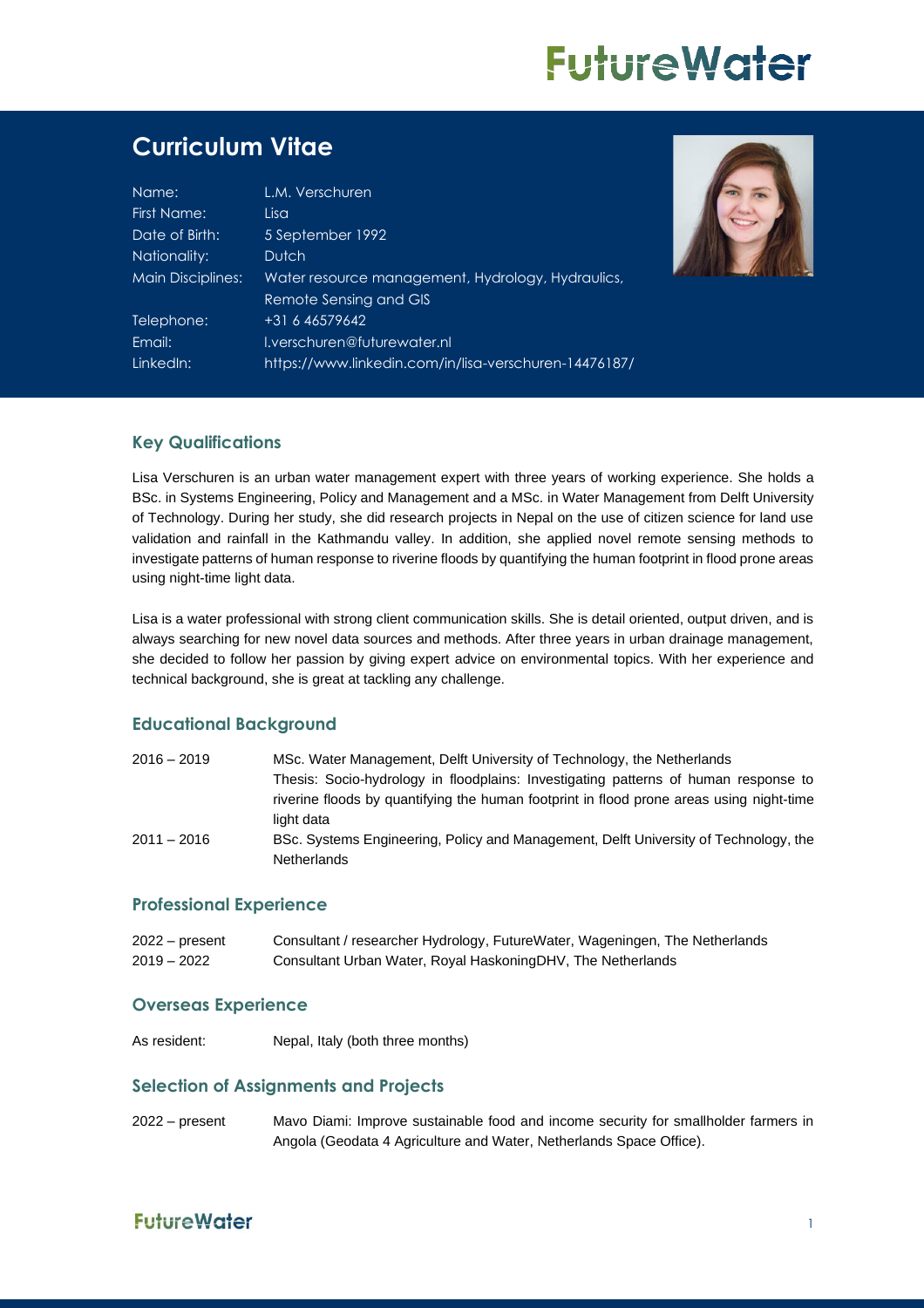# **FutureWater**

# **Curriculum Vitae**

| Name:             | L.M. Verschuren                                       |
|-------------------|-------------------------------------------------------|
| First Name:       | Lisa                                                  |
| Date of Birth:    | 5 September 1992                                      |
| Nationality:      | <b>Dutch</b>                                          |
| Main Disciplines: | Water resource management, Hydrology, Hydraulics,     |
|                   | Remote Sensing and GIS                                |
| Telephone:        | +31 6 46579642                                        |
| Email:            | I.verschuren@futurewater.nl                           |
| LinkedIn:         | https://www.linkedin.com/in/lisa-verschuren-14476187/ |
|                   |                                                       |



#### **Key Qualifications**

Lisa Verschuren is an urban water management expert with three years of working experience. She holds a BSc. in Systems Engineering, Policy and Management and a MSc. in Water Management from Delft University of Technology. During her study, she did research projects in Nepal on the use of citizen science for land use validation and rainfall in the Kathmandu valley. In addition, she applied novel remote sensing methods to investigate patterns of human response to riverine floods by quantifying the human footprint in flood prone areas using night-time light data.

Lisa is a water professional with strong client communication skills. She is detail oriented, output driven, and is always searching for new novel data sources and methods. After three years in urban drainage management, she decided to follow her passion by giving expert advice on environmental topics. With her experience and technical background, she is great at tackling any challenge.

#### **Educational Background**

| $2016 - 2019$ | MSc. Water Management, Delft University of Technology, the Netherlands                   |
|---------------|------------------------------------------------------------------------------------------|
|               | Thesis: Socio-hydrology in floodplains: Investigating patterns of human response to      |
|               | riverine floods by quantifying the human footprint in flood prone areas using night-time |
|               | light data                                                                               |
| $2011 - 2016$ | BSc. Systems Engineering, Policy and Management, Delft University of Technology, the     |
|               | <b>Netherlands</b>                                                                       |

#### **Professional Experience**

| $2022 - present$ | Consultant / researcher Hydrology, FutureWater, Wageningen, The Netherlands |
|------------------|-----------------------------------------------------------------------------|
| $2019 - 2022$    | Consultant Urban Water, Royal HaskoningDHV, The Netherlands                 |

#### **Overseas Experience**

As resident: Nepal, Italy (both three months)

#### **Selection of Assignments and Projects**

2022 – present Mavo Diami: Improve sustainable food and income security for smallholder farmers in Angola (Geodata 4 Agriculture and Water, Netherlands Space Office).

## **FutureWater**